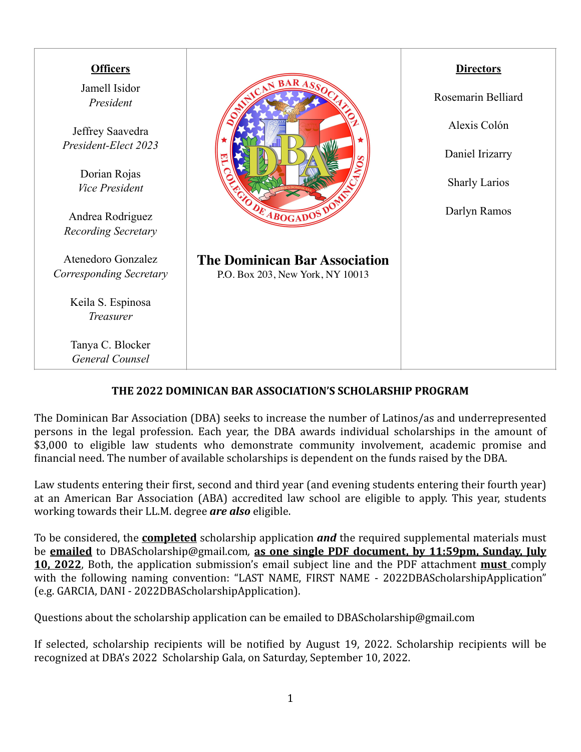| <b>Officers</b>                                |                                                                          | <b>Directors</b>     |
|------------------------------------------------|--------------------------------------------------------------------------|----------------------|
| Jamell Isidor<br>President                     |                                                                          | Rosemarin Belliard   |
| Jeffrey Saavedra                               |                                                                          | Alexis Colón         |
| President-Elect 2023                           |                                                                          | Daniel Irizarry      |
| Dorian Rojas<br><b>Vice President</b>          |                                                                          | <b>Sharly Larios</b> |
| Andrea Rodriguez<br><b>Recording Secretary</b> | OR ABOGADOS D                                                            | Darlyn Ramos         |
| Atenedoro Gonzalez<br>Corresponding Secretary  | <b>The Dominican Bar Association</b><br>P.O. Box 203, New York, NY 10013 |                      |
| Keila S. Espinosa<br>Treasurer                 |                                                                          |                      |
| Tanya C. Blocker<br>General Counsel            |                                                                          |                      |

# THE 2022 DOMINICAN BAR ASSOCIATION'S SCHOLARSHIP PROGRAM

The Dominican Bar Association (DBA) seeks to increase the number of Latinos/as and underrepresented persons in the legal profession. Each year, the DBA awards individual scholarships in the amount of \$3,000 to eligible law students who demonstrate community involvement, academic promise and financial need. The number of available scholarships is dependent on the funds raised by the DBA.

Law students entering their first, second and third year (and evening students entering their fourth year) at an American Bar Association (ABA) accredited law school are eligible to apply. This year, students working towards their LL.M. degree **are also** eligible.

To be considered, the **completed** scholarship application **and** the required supplemental materials must be **emailed** to [DBAScholarship@gmail.com](mailto:DBAScholarship@gmail.com), as one single PDF document, by 11:59pm, Sunday, July **10, 2022**, Both, the application submission's email subject line and the PDF attachment **must** comply with the following naming convention: "LAST NAME, FIRST NAME - 2022DBAScholarshipApplication" (e.g. GARCIA, DANI - 2022DBAScholarshipApplication).

Questions about the scholarship application can be emailed to DBAScholarship@gmail.com

If selected, scholarship recipients will be notified by August 19, 2022. Scholarship recipients will be recognized at DBA's 2022 Scholarship Gala, on Saturday, September 10, 2022.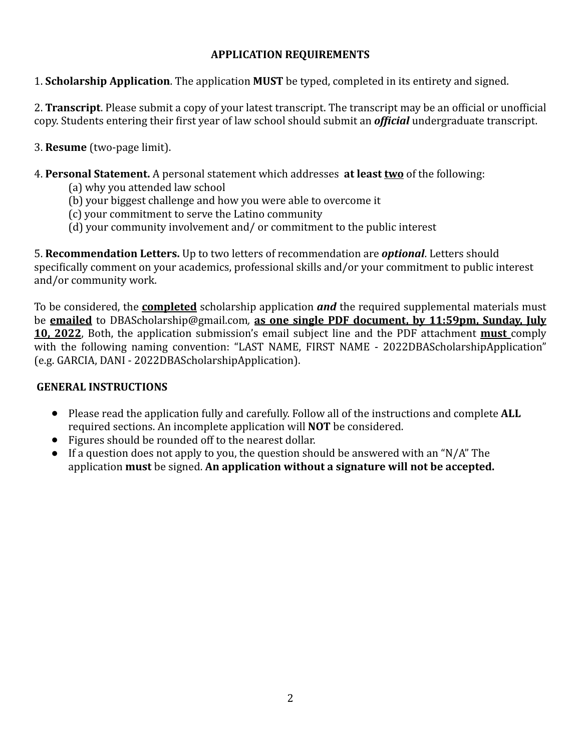## **APPLICATION REQUIREMENTS**

1. **Scholarship Application**. The application **MUST** be typed, completed in its entirety and signed.

2. **Transcript**. Please submit a copy of your latest transcript. The transcript may be an official or unofficial copy. Students entering their first year of law school should submit an *official* undergraduate transcript.

3. **Resume** (two-page limit). 

- 4. **Personal Statement.** A personal statement which addresses **at least two** of the following:
	- (a) why you attended law school
	- (b) your biggest challenge and how you were able to overcome it
	- (c) your commitment to serve the Latino community
	- (d) your community involvement and/ or commitment to the public interest

5. **Recommendation Letters.** Up to two letters of recommendation are *optional*. Letters should specifically comment on your academics, professional skills and/or your commitment to public interest and/or community work.

To be considered, the **completed** scholarship application **and** the required supplemental materials must be **emailed** to [DBAScholarship@gmail.com](mailto:DBAScholarship@gmail.com), as one single PDF document, by 11:59pm, Sunday, July **10, 2022**, Both, the application submission's email subject line and the PDF attachment **must** comply with the following naming convention: "LAST NAME, FIRST NAME - 2022DBAScholarshipApplication" (e.g. GARCIA, DANI - 2022DBAScholarshipApplication).

### **GENERAL INSTRUCTIONS**

- Please read the application fully and carefully. Follow all of the instructions and complete **ALL** required sections. An incomplete application will **NOT** be considered.
- Figures should be rounded off to the nearest dollar.
- If a question does not apply to you, the question should be answered with an "N/A" The application **must** be signed. An application without a signature will not be accepted.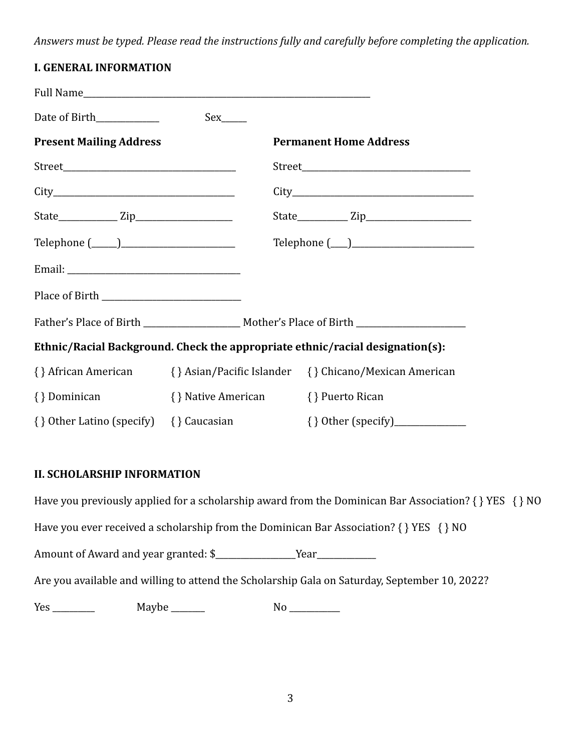Answers must be typed. Please read the instructions fully and carefully before completing the application.

| <b>I. GENERAL INFORMATION</b>                                                 |                                      |                                                                                                     |  |
|-------------------------------------------------------------------------------|--------------------------------------|-----------------------------------------------------------------------------------------------------|--|
|                                                                               |                                      |                                                                                                     |  |
| Date of Birth                                                                 | Sex                                  |                                                                                                     |  |
| <b>Present Mailing Address</b>                                                |                                      | <b>Permanent Home Address</b>                                                                       |  |
|                                                                               |                                      |                                                                                                     |  |
|                                                                               |                                      |                                                                                                     |  |
|                                                                               |                                      |                                                                                                     |  |
|                                                                               |                                      | $\text{Telephone } (\_\_\_\_\_\_\_\_\_\_\_\_\_\_\_\_\_\_\_\_\_\_\_\_\_\_\_\_\_\_\_\_$               |  |
|                                                                               |                                      |                                                                                                     |  |
|                                                                               |                                      |                                                                                                     |  |
|                                                                               |                                      | Father's Place of Birth ________________________ Mother's Place of Birth __________________________ |  |
| Ethnic/Racial Background. Check the appropriate ethnic/racial designation(s): |                                      |                                                                                                     |  |
|                                                                               |                                      | {} African American {} Asian/Pacific Islander {} Chicano/Mexican American                           |  |
| { } Dominican                                                                 | { } Native American { } Puerto Rican |                                                                                                     |  |
| { } Other Latino (specify) { } Caucasian                                      |                                      |                                                                                                     |  |

### **II. SCHOLARSHIP INFORMATION**

Have you previously applied for a scholarship award from the Dominican Bar Association?  $\{ \}$  YES  $\{ \}$  NO Have you ever received a scholarship from the Dominican Bar Association?  $\{ \}$  YES  $\{ \}$  NO Amount of Award and year granted: \$\_\_\_\_\_\_\_\_\_\_\_\_\_\_\_\_\_\_\_Year\_\_\_\_\_\_\_\_\_\_\_\_\_\_ Are you available and willing to attend the Scholarship Gala on Saturday, September 10, 2022?  $Yes \_\_\_\_\_\_\_\_\_\_\_\_\_\_\_\_\_\_\_\_ \$  Maybe  $\_\_\_\_\_\_\_\_\_\_\_\_\_\_\_\_\_$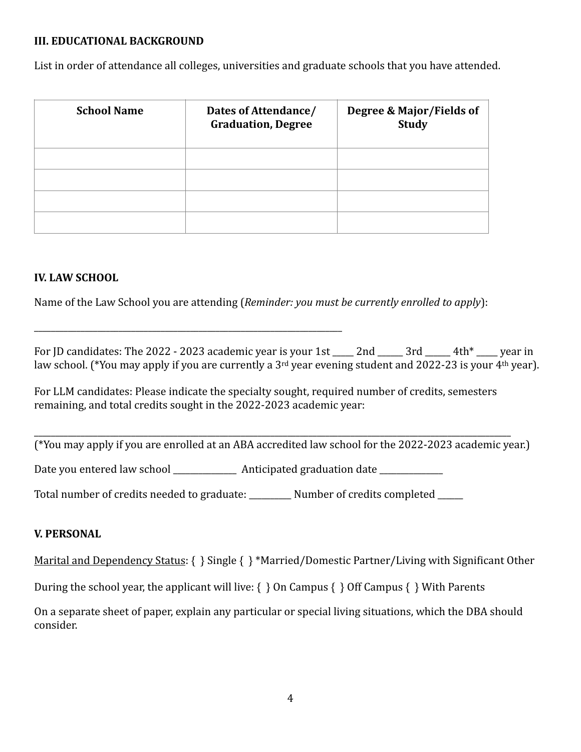### **III. EDUCATIONAL BACKGROUND**

List in order of attendance all colleges, universities and graduate schools that you have attended.

| <b>School Name</b> | Dates of Attendance/<br><b>Graduation, Degree</b> | Degree & Major/Fields of<br><b>Study</b> |
|--------------------|---------------------------------------------------|------------------------------------------|
|                    |                                                   |                                          |
|                    |                                                   |                                          |
|                    |                                                   |                                          |
|                    |                                                   |                                          |

### **IV. LAW SCHOOL**

Name of the Law School you are attending (*Reminder: you must be currently enrolled to apply*):

For ID candidates: The 2022 - 2023 academic year is your 1st  $\qquad$  2nd  $\qquad$  3rd  $\qquad$  4th\* vear in law school. (\*You may apply if you are currently a 3<sup>rd</sup> year evening student and 2022-23 is your 4<sup>th</sup> year).

For LLM candidates: Please indicate the specialty sought, required number of credits, semesters remaining, and total credits sought in the 2022-2023 academic year:

(\*You may apply if you are enrolled at an ABA accredited law school for the 2022-2023 academic year.)

\_\_\_\_\_\_\_\_\_\_\_\_\_\_\_\_\_\_\_\_\_\_\_\_\_\_\_\_\_\_\_\_\_\_\_\_\_\_\_\_\_\_\_\_\_\_\_\_\_\_\_\_\_\_\_\_\_\_\_\_\_\_\_\_\_\_\_\_\_\_\_\_\_\_\_\_\_\_\_\_\_\_\_\_\_\_\_\_\_\_\_\_\_\_\_\_\_\_\_\_\_\_\_\_\_\_\_\_\_\_\_\_\_

Date you entered law school \_\_\_\_\_\_\_\_\_\_\_\_\_\_ Anticipated graduation date \_\_\_\_\_\_\_\_\_\_

\_\_\_\_\_\_\_\_\_\_\_\_\_\_\_\_\_\_\_\_\_\_\_\_\_\_\_\_\_\_\_\_\_\_\_\_\_\_\_\_\_\_\_\_\_\_\_\_\_\_\_\_\_\_\_\_\_\_\_\_\_\_\_\_\_\_\_\_\_\_\_\_\_ 

Total number of credits needed to graduate: \_\_\_\_\_\_\_\_\_ Number of credits completed \_\_\_\_\_

#### **V. PERSONAL**

Marital and Dependency Status:  $\{\}$  Single  $\{\}^*$ Married/Domestic Partner/Living with Significant Other

During the school year, the applicant will live:  $\{\}$  On Campus  $\{\}$  Off Campus  $\{\}$  With Parents

On a separate sheet of paper, explain any particular or special living situations, which the DBA should consider.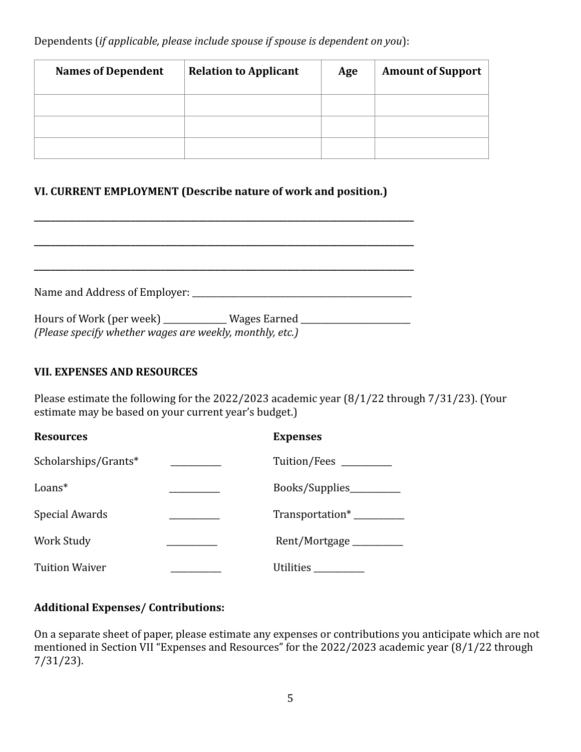Dependents (*if applicable, please include spouse if spouse is dependent on you*):

| <b>Names of Dependent</b> | <b>Relation to Applicant</b> | Age | <b>Amount of Support</b> |
|---------------------------|------------------------------|-----|--------------------------|
|                           |                              |     |                          |
|                           |                              |     |                          |
|                           |                              |     |                          |

# **VI. CURRENT EMPLOYMENT (Describe nature of work and position.)**

**\_\_\_\_\_\_\_\_\_\_\_\_\_\_\_\_\_\_\_\_\_\_\_\_\_\_\_\_\_\_\_\_\_\_\_\_\_\_\_\_\_\_\_\_\_\_\_\_\_\_\_\_\_\_\_\_\_\_\_\_\_\_\_\_\_\_\_\_\_\_\_\_\_\_\_\_\_\_\_\_\_\_\_\_\_\_\_\_\_\_**

| Name and Address of Employer: ____                                                                                   |  |
|----------------------------------------------------------------------------------------------------------------------|--|
| Hours of Work (per week) ______________ Wages Earned ___<br>(Please specify whether wages are weekly, monthly, etc.) |  |

### **VII. EXPENSES AND RESOURCES**

Please estimate the following for the  $2022/2023$  academic year  $(8/1/22$  through  $7/31/23$ ). (Your estimate may be based on your current year's budget.)

| <b>Resources</b>      | <b>Expenses</b>             |
|-----------------------|-----------------------------|
| Scholarships/Grants*  | Tuition/Fees ______         |
| $Loans*$              | Books/Supplies_______       |
| Special Awards        | Transportation <sup>*</sup> |
| <b>Work Study</b>     | Rent/Mortgage ______        |
| <b>Tuition Waiver</b> | Utilities                   |

# **Additional Expenses/ Contributions:**

On a separate sheet of paper, please estimate any expenses or contributions you anticipate which are not mentioned in Section VII "Expenses and Resources" for the 2022/2023 academic year  $(8/1/22 \text{ through})$ 7/31/23).